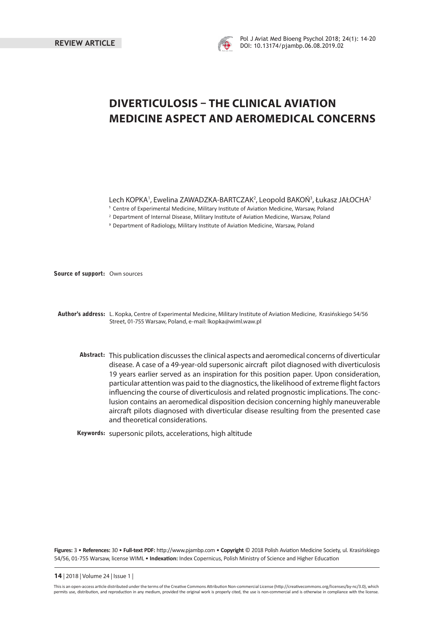

# **DIVERTICULOSIS – THE CLINICAL AVIATION MEDICINE ASPECT AND AEROMEDICAL CONCERNS**

Lech KOPKA', Ewelina ZAWADZKA-BARTCZAK<sup>2</sup>, Leopold BAKOŃ3, Łukasz JAŁOCHA<sup>2</sup>

- <sup>1</sup> Centre of Experimental Medicine, Military Institute of Aviation Medicine, Warsaw, Poland
- <sup>2</sup> Department of Internal Disease, Military Institute of Aviation Medicine, Warsaw, Poland
- <sup>3</sup> Department of Radiology, Military Institute of Aviation Medicine, Warsaw, Poland

**Source of support:** Own sources

- **Author's address:** L. Kopka, Centre of Experimental Medicine, Military Institute of Aviation Medicine, Krasińskiego 54/56 Street, 01-755 Warsaw, Poland, e-mail: lkopka@wiml.waw.pl
	- **Abstract:** This publication discusses the clinical aspects and aeromedical concerns of diverticular disease. A case of a 49-year-old supersonic aircraft pilot diagnosed with diverticulosis 19 years earlier served as an inspiration for this position paper. Upon consideration, particular attention was paid to the diagnostics, the likelihood of extreme flight factors influencing the course of diverticulosis and related prognostic implications. The conclusion contains an aeromedical disposition decision concerning highly maneuverable aircraft pilots diagnosed with diverticular disease resulting from the presented case and theoretical considerations.

**Keywords:** supersonic pilots, accelerations, high altitude

Figures: 3 • References: 30 • Full-text PDF: http://www.pjambp.com • Copyright © 2018 Polish Aviation Medicine Society, ul. Krasińskiego 54/56, 01-755 Warsaw, license WIML • Indexation: Index Copernicus, Polish Ministry of Science and Higher Education

**14** | 2018 | Volume 24 | Issue 1 |

This is an open-access article distributed under the terms of the Creative Commons Attribution Non-commercial License (http://creativecommons.org/licenses/by-nc/3.0), which permits use, distribution, and reproduction in any medium, provided the original work is properly cited, the use is non-commercial and is otherwise in compliance with the license.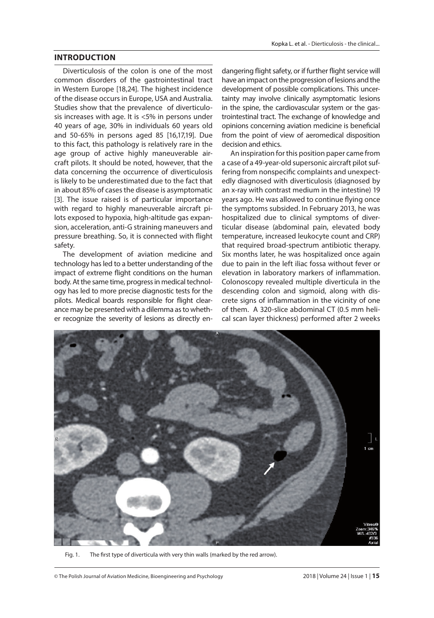### **INTRODUCTION**

Diverticulosis of the colon is one of the most common disorders of the gastrointestinal tract in Western Europe [18,24]. The highest incidence of the disease occurs in Europe, USA and Australia. Studies show that the prevalence of diverticulosis increases with age. It is <5% in persons under 40 years of age, 30% in individuals 60 years old and 50-65% in persons aged 85 [16,17,19]. Due to this fact, this pathology is relatively rare in the age group of active highly maneuverable aircraft pilots. It should be noted, however, that the data concerning the occurrence of diverticulosis is likely to be underestimated due to the fact that in about 85% of cases the disease is asymptomatic [3]. The issue raised is of particular importance with regard to highly maneuverable aircraft pilots exposed to hypoxia, high-altitude gas expansion, acceleration, anti-G straining maneuvers and pressure breathing. So, it is connected with flight safety.

The development of aviation medicine and technology has led to a better understanding of the impact of extreme flight conditions on the human body. At the same time, progress in medical technology has led to more precise diagnostic tests for the pilots. Medical boards responsible for flight clearance may be presented with a dilemma as to whether recognize the severity of lesions as directly en-

dangering flight safety, or if further flight service will have an impact on the progression of lesions and the development of possible complications. This uncertainty may involve clinically asymptomatic lesions in the spine, the cardiovascular system or the gastrointestinal tract. The exchange of knowledge and opinions concerning aviation medicine is beneficial from the point of view of aeromedical disposition decision and ethics.

An inspiration for this position paper came from a case of a 49-year-old supersonic aircraft pilot suffering from nonspecific complaints and unexpectedly diagnosed with diverticulosis (diagnosed by an x-ray with contrast medium in the intestine) 19 years ago. He was allowed to continue flying once the symptoms subsided. In February 2013, he was hospitalized due to clinical symptoms of diverticular disease (abdominal pain, elevated body temperature, increased leukocyte count and CRP) that required broad-spectrum antibiotic therapy. Six months later, he was hospitalized once again due to pain in the left iliac fossa without fever or elevation in laboratory markers of inflammation. Colonoscopy revealed multiple diverticula in the descending colon and sigmoid, along with discrete signs of inflammation in the vicinity of one of them. A 320-slice abdominal CT (0.5 mm helical scan layer thickness) performed after 2 weeks



Fig. 1. The first type of diverticula with very thin walls (marked by the red arrow).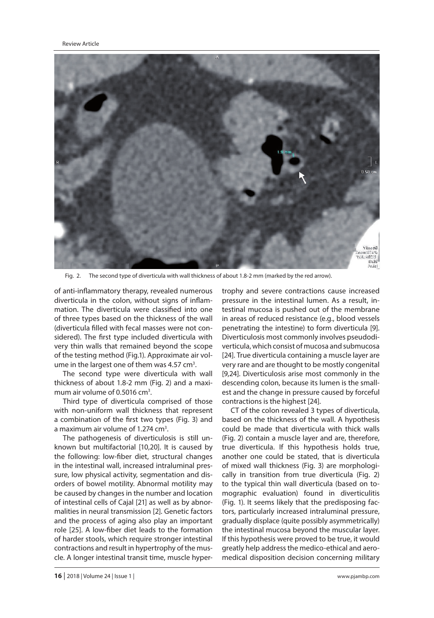

Fig. 2. The second type of diverticula with wall thickness of about 1.8-2 mm (marked by the red arrow).

of anti-inflammatory therapy, revealed numerous diverticula in the colon, without signs of inflammation. The diverticula were classified into one of three types based on the thickness of the wall (diverticula filled with fecal masses were not considered). The first type included diverticula with very thin walls that remained beyond the scope of the testing method (Fig.1). Approximate air volume in the largest one of them was 4.57 cm<sup>3</sup>.

The second type were diverticula with wall thickness of about 1.8-2 mm (Fig. 2) and a maximum air volume of 0.5016 cm<sup>3</sup>.

Third type of diverticula comprised of those with non-uniform wall thickness that represent a combination of the first two types (Fig. 3) and a maximum air volume of 1.274 cm<sup>3</sup>.

The pathogenesis of diverticulosis is still unknown but multifactorial [10,20]. It is caused by the following: low-fiber diet, structural changes in the intestinal wall, increased intraluminal pressure, low physical activity, segmentation and disorders of bowel motility. Abnormal motility may be caused by changes in the number and location of intestinal cells of Cajal [21] as well as by abnormalities in neural transmission [2]. Genetic factors and the process of aging also play an important role [25]. A low-fiber diet leads to the formation of harder stools, which require stronger intestinal contractions and result in hypertrophy of the muscle. A longer intestinal transit time, muscle hyper-

trophy and severe contractions cause increased pressure in the intestinal lumen. As a result, intestinal mucosa is pushed out of the membrane in areas of reduced resistance (e.g., blood vessels penetrating the intestine) to form diverticula [9]. Diverticulosis most commonly involves pseudodiverticula, which consist of mucosa and submucosa [24]. True diverticula containing a muscle layer are very rare and are thought to be mostly congenital [9,24]. Diverticulosis arise most commonly in the descending colon, because its lumen is the smallest and the change in pressure caused by forceful contractions is the highest [24].

CT of the colon revealed 3 types of diverticula, based on the thickness of the wall. A hypothesis could be made that diverticula with thick walls (Fig. 2) contain a muscle layer and are, therefore, true diverticula. If this hypothesis holds true, another one could be stated, that is diverticula of mixed wall thickness (Fig. 3) are morphologically in transition from true diverticula (Fig. 2) to the typical thin wall diverticula (based on tomographic evaluation) found in diverticulitis (Fig. 1). It seems likely that the predisposing factors, particularly increased intraluminal pressure, gradually displace (quite possibly asymmetrically) the intestinal mucosa beyond the muscular layer. If this hypothesis were proved to be true, it would greatly help address the medico-ethical and aeromedical disposition decision concerning military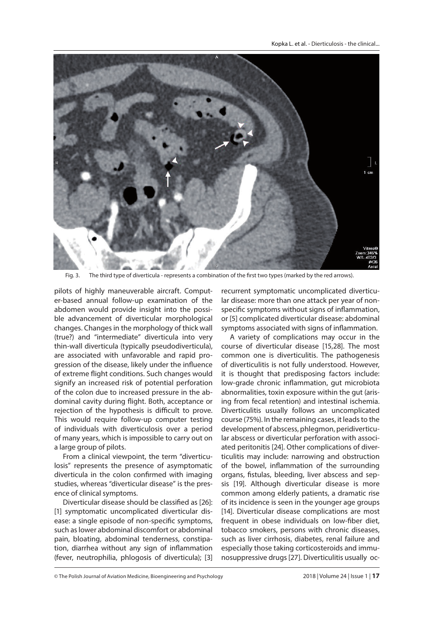Kopka L. et al. - Dierticulosis - the clinical



Fig. 3. The third type of diverticula - represents a combination of the first two types (marked by the red arrows).

pilots of highly maneuverable aircraft. Computer-based annual follow-up examination of the abdomen would provide insight into the possible advancement of diverticular morphological changes. Changes in the morphology of thick wall (true?) and "intermediate" diverticula into very thin-wall diverticula (typically pseudodiverticula), are associated with unfavorable and rapid progression of the disease, likely under the influence of extreme flight conditions. Such changes would signify an increased risk of potential perforation of the colon due to increased pressure in the abdominal cavity during flight. Both, acceptance or rejection of the hypothesis is difficult to prove. This would require follow-up computer testing of individuals with diverticulosis over a period of many years, which is impossible to carry out on a large group of pilots.

From a clinical viewpoint, the term "diverticulosis" represents the presence of asymptomatic diverticula in the colon confirmed with imaging studies, whereas "diverticular disease" is the presence of clinical symptoms.

Diverticular disease should be classified as [26]: [1] symptomatic uncomplicated diverticular disease: a single episode of non-specific symptoms, such as lower abdominal discomfort or abdominal pain, bloating, abdominal tenderness, constipation, diarrhea without any sign of inflammation (fever, neutrophilia, phlogosis of diverticula); [3]

recurrent symptomatic uncomplicated diverticular disease: more than one attack per year of nonspecific symptoms without signs of inflammation, or [5] complicated diverticular disease: abdominal symptoms associated with signs of inflammation.

A variety of complications may occur in the course of diverticular disease [15,28]. The most common one is diverticulitis. The pathogenesis of diverticulitis is not fully understood. However, it is thought that predisposing factors include: low-grade chronic inflammation, gut microbiota abnormalities, toxin exposure within the gut (arising from fecal retention) and intestinal ischemia. Diverticulitis usually follows an uncomplicated course (75%). In the remaining cases, it leads to the development of abscess, phlegmon, peridiverticular abscess or diverticular perforation with associated peritonitis [24]. Other complications of diverticulitis may include: narrowing and obstruction of the bowel, inflammation of the surrounding organs, fistulas, bleeding, liver abscess and sepsis [19]. Although diverticular disease is more common among elderly patients, a dramatic rise of its incidence is seen in the younger age groups [14]. Diverticular disease complications are most frequent in obese individuals on low-fiber diet, tobacco smokers, persons with chronic diseases, such as liver cirrhosis, diabetes, renal failure and especially those taking corticosteroids and immunosuppressive drugs [27]. Diverticulitis usually oc-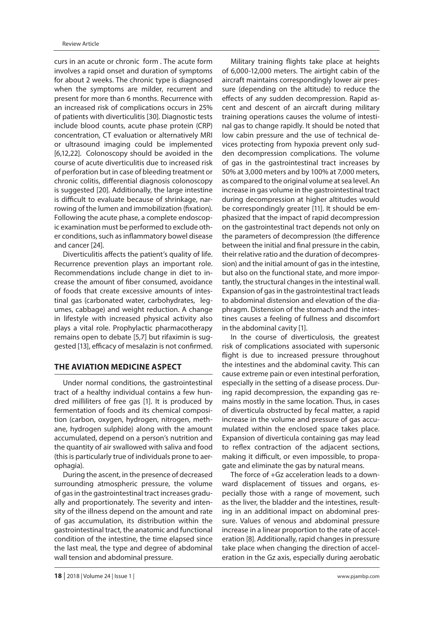curs in an acute or chronic form . The acute form involves a rapid onset and duration of symptoms for about 2 weeks. The chronic type is diagnosed when the symptoms are milder, recurrent and present for more than 6 months. Recurrence with an increased risk of complications occurs in 25% of patients with diverticulitis [30]. Diagnostic tests include blood counts, acute phase protein (CRP) concentration, CT evaluation or alternatively MRI or ultrasound imaging could be implemented [6,12,22]. Colonoscopy should be avoided in the course of acute diverticulitis due to increased risk of perforation but in case of bleeding treatment or chronic colitis, differential diagnosis colonoscopy is suggested [20]. Additionally, the large intestine is difficult to evaluate because of shrinkage, narrowing of the lumen and immobilization (fixation). Following the acute phase, a complete endoscopic examination must be performed to exclude other conditions, such as inflammatory bowel disease and cancer [24].

Diverticulitis affects the patient's quality of life. Recurrence prevention plays an important role. Recommendations include change in diet to increase the amount of fiber consumed, avoidance of foods that create excessive amounts of intestinal gas (carbonated water, carbohydrates, legumes, cabbage) and weight reduction. A change in lifestyle with increased physical activity also plays a vital role. Prophylactic pharmacotherapy remains open to debate [5,7] but rifaximin is suggested [13], efficacy of mesalazin is not confirmed.

## **THE AVIATION MEDICINE ASPECT**

Under normal conditions, the gastrointestinal tract of a healthy individual contains a few hundred milliliters of free gas [1]. It is produced by fermentation of foods and its chemical composition (carbon, oxygen, hydrogen, nitrogen, methane, hydrogen sulphide) along with the amount accumulated, depend on a person's nutrition and the quantity of air swallowed with saliva and food (this is particularly true of individuals prone to aerophagia).

During the ascent, in the presence of decreased surrounding atmospheric pressure, the volume of gas in the gastrointestinal tract increases gradually and proportionately. The severity and intensity of the illness depend on the amount and rate of gas accumulation, its distribution within the gastrointestinal tract, the anatomic and functional condition of the intestine, the time elapsed since the last meal, the type and degree of abdominal wall tension and abdominal pressure.

Military training flights take place at heights of 6,000-12,000 meters. The airtight cabin of the aircraft maintains correspondingly lower air pressure (depending on the altitude) to reduce the effects of any sudden decompression. Rapid ascent and descent of an aircraft during military training operations causes the volume of intestinal gas to change rapidly. It should be noted that low cabin pressure and the use of technical devices protecting from hypoxia prevent only sudden decompression complications. The volume of gas in the gastrointestinal tract increases by 50% at 3,000 meters and by 100% at 7,000 meters, as compared to the original volume at sea level. An increase in gas volume in the gastrointestinal tract during decompression at higher altitudes would be correspondingly greater [11]. It should be emphasized that the impact of rapid decompression on the gastrointestinal tract depends not only on the parameters of decompression (the difference between the initial and final pressure in the cabin. their relative ratio and the duration of decompression) and the initial amount of gas in the intestine, but also on the functional state, and more importantly, the structural changes in the intestinal wall. Expansion of gas in the gastrointestinal tract leads to abdominal distension and elevation of the diaphragm. Distension of the stomach and the intestines causes a feeling of fullness and discomfort in the abdominal cavity [1].

In the course of diverticulosis, the greatest risk of complications associated with supersonic flight is due to increased pressure throughout the intestines and the abdominal cavity. This can cause extreme pain or even intestinal perforation, especially in the setting of a disease process. During rapid decompression, the expanding gas remains mostly in the same location. Thus, in cases of diverticula obstructed by fecal matter, a rapid increase in the volume and pressure of gas accumulated within the enclosed space takes place. Expansion of diverticula containing gas may lead to reflex contraction of the adjacent sections, making it difficult, or even impossible, to propagate and eliminate the gas by natural means.

The force of +Gz acceleration leads to a downward displacement of tissues and organs, especially those with a range of movement, such as the liver, the bladder and the intestines, resulting in an additional impact on abdominal pressure. Values of venous and abdominal pressure increase in a linear proportion to the rate of acceleration [8]. Additionally, rapid changes in pressure take place when changing the direction of acceleration in the Gz axis, especially during aerobatic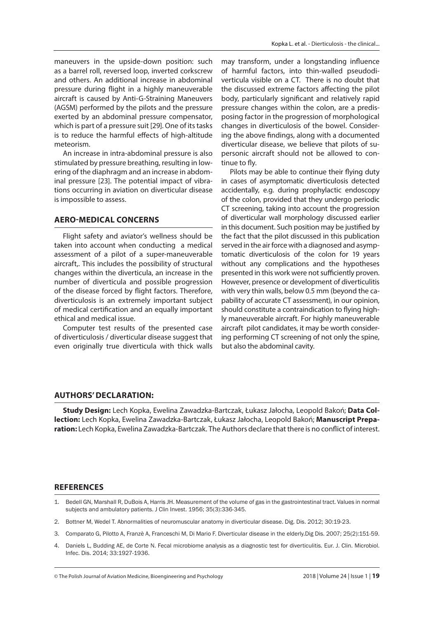maneuvers in the upside-down position: such as a barrel roll, reversed loop, inverted corkscrew and others. An additional increase in abdominal pressure during flight in a highly maneuverable aircraft is caused by Anti-G-Straining Maneuvers (AGSM) performed by the pilots and the pressure exerted by an abdominal pressure compensator, which is part of a pressure suit [29]. One of its tasks is to reduce the harmful effects of high-altitude meteorism.

An increase in intra-abdominal pressure is also stimulated by pressure breathing, resulting in lowering of the diaphragm and an increase in abdominal pressure [23]. The potential impact of vibrations occurring in aviation on diverticular disease is impossible to assess.

#### **AERO-MEDICAL CONCERNS**

Flight safety and aviator's wellness should be taken into account when conducting a medical assessment of a pilot of a super-maneuverable aircraft,. This includes the possibility of structural changes within the diverticula, an increase in the number of diverticula and possible progression of the disease forced by flight factors. Therefore, diverticulosis is an extremely important subject of medical certification and an equally important ethical and medical issue.

Computer test results of the presented case of diverticulosis / diverticular disease suggest that even originally true diverticula with thick walls may transform, under a longstanding influence of harmful factors, into thin-walled pseudodiverticula visible on a CT. There is no doubt that the discussed extreme factors affecting the pilot body, particularly significant and relatively rapid pressure changes within the colon, are a predisposing factor in the progression of morphological changes in diverticulosis of the bowel. Considering the above findings, along with a documented diverticular disease, we believe that pilots of supersonic aircraft should not be allowed to continue to fly.

Pilots may be able to continue their flying duty in cases of asymptomatic diverticulosis detected accidentally, e.g. during prophylactic endoscopy of the colon, provided that they undergo periodic CT screening, taking into account the progression of diverticular wall morphology discussed earlier in this document. Such position may be justified by the fact that the pilot discussed in this publication served in the air force with a diagnosed and asymptomatic diverticulosis of the colon for 19 years without any complications and the hypotheses presented in this work were not sufficiently proven. However, presence or development of diverticulitis with very thin walls, below 0.5 mm (beyond the capability of accurate CT assessment), in our opinion, should constitute a contraindication to flying highly maneuverable aircraft. For highly maneuverable aircraft pilot candidates, it may be worth considering performing CT screening of not only the spine, but also the abdominal cavity.

#### **AUTHORS' DECLARATION:**

**Study Design:** Lech Kopka, Ewelina Zawadzka-Bartczak, Łukasz Jałocha, Leopold Bakoń; **Data Collection:** Lech Kopka, Ewelina Zawadzka-Bartczak, Łukasz Jałocha, Leopold Bakoń; **Manuscript Prepa**ration: Lech Kopka, Ewelina Zawadzka-Bartczak. The Authors declare that there is no conflict of interest.

#### **REFERENCES**

- 1. Bedell GN, Marshall R, DuBois A, Harris JH. Measurement of the volume of gas in the gastrointestinal tract. Values in normal subjects and ambulatory patients. J Clin Invest. 1956; 35(3):336-345.
- 2. Bottner M, Wedel T. Abnormalities of neuromuscular anatomy in diverticular disease. Dig. Dis. 2012; 30:19-23.
- 3. Comparato G, Pilotto A, Franzè A, Franceschi M, Di Mario F. Diverticular disease in the elderly.Dig Dis. 2007; 25(2):151-59.
- 4. Daniels L, Budding AE, de Corte N. Fecal microbiome analysis as a diagnostic test for diverticulitis. Eur. J. Clin. Microbiol. Infec. Dis. 2014; 33:1927-1936.